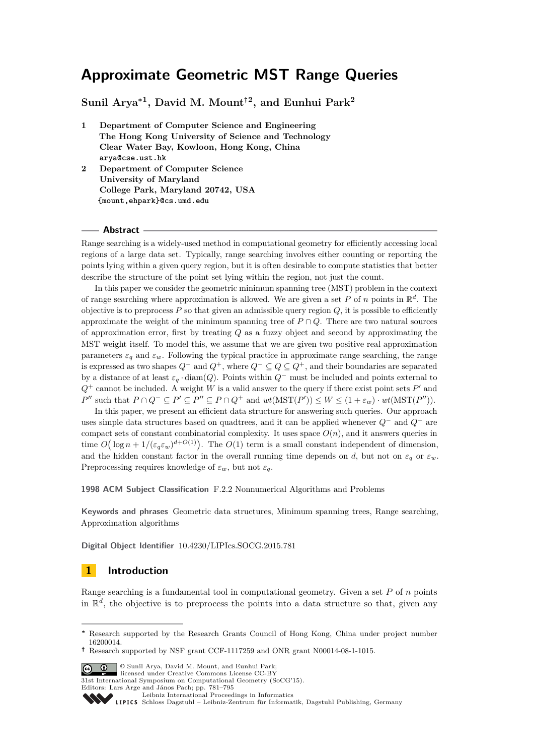**Sunil Arya<sup>∗</sup><sup>1</sup> , David M. Mount†<sup>2</sup> , and Eunhui Park<sup>2</sup>**

- **1 Department of Computer Science and Engineering The Hong Kong University of Science and Technology Clear Water Bay, Kowloon, Hong Kong, China arya@cse.ust.hk**
- **2 Department of Computer Science University of Maryland College Park, Maryland 20742, USA {mount,ehpark}@cs.umd.edu**

#### **Abstract**

Range searching is a widely-used method in computational geometry for efficiently accessing local regions of a large data set. Typically, range searching involves either counting or reporting the points lying within a given query region, but it is often desirable to compute statistics that better describe the structure of the point set lying within the region, not just the count.

In this paper we consider the geometric minimum spanning tree (MST) problem in the context of range searching where approximation is allowed. We are given a set *P* of *n* points in R *d* . The objective is to preprocess  $P$  so that given an admissible query region  $Q$ , it is possible to efficiently approximate the weight of the minimum spanning tree of  $P \cap Q$ . There are two natural sources of approximation error, first by treating *Q* as a fuzzy object and second by approximating the MST weight itself. To model this, we assume that we are given two positive real approximation parameters  $\varepsilon_q$  and  $\varepsilon_w$ . Following the typical practice in approximate range searching, the range is expressed as two shapes *Q*<sup>−</sup> and *Q*<sup>+</sup>, where *Q*<sup>−</sup> ⊆ *Q* ⊆ *Q*<sup>+</sup>, and their boundaries are separated by a distance of at least  $\varepsilon_q \cdot \text{diam}(Q)$ . Points within  $Q^-$  must be included and points external to  $Q^+$  cannot be included. A weight *W* is a valid answer to the query if there exist point sets  $P'$  and  $P''$  such that  $P \cap Q^- \subseteq P' \subseteq P'' \subseteq P \cap Q^+$  and  $wt(MST(P')) \leq W \leq (1 + \varepsilon_w) \cdot wt(MST(P''))$ .

In this paper, we present an efficient data structure for answering such queries. Our approach uses simple data structures based on quadtrees, and it can be applied whenever *Q*<sup>−</sup> and *Q*<sup>+</sup> are compact sets of constant combinatorial complexity. It uses space  $O(n)$ , and it answers queries in time  $O\left(\log n + 1/(\varepsilon_q \varepsilon_w)^{d+O(1)}\right)$ . The  $O(1)$  term is a small constant independent of dimension, and the hidden constant factor in the overall running time depends on *d*, but not on  $\varepsilon_q$  or  $\varepsilon_w$ . Preprocessing requires knowledge of  $\varepsilon_w$ , but not  $\varepsilon_q$ .

#### **1998 ACM Subject Classification** F.2.2 Nonnumerical Algorithms and Problems

**Keywords and phrases** Geometric data structures, Minimum spanning trees, Range searching, Approximation algorithms

**Digital Object Identifier** [10.4230/LIPIcs.SOCG.2015.781](http://dx.doi.org/10.4230/LIPIcs.SOCG.2015.781)

# **1 Introduction**

Range searching is a fundamental tool in computational geometry. Given a set *P* of *n* points in  $\mathbb{R}^d$ , the objective is to preprocess the points into a data structure so that, given any

© Sunil Arya, David M. Mount, and Eunhui Park;

licensed under Creative Commons License CC-BY 31st International Symposium on Computational Geometry (SoCG'15).

**<sup>∗</sup>** Research supported by the Research Grants Council of Hong Kong, China under project number 16200014.

**<sup>†</sup>** Research supported by NSF grant CCF-1117259 and ONR grant N00014-08-1-1015.

Editors: Lars Arge and János Pach; pp. 781[–795](#page-14-0)

[Leibniz International Proceedings in Informatics](http://www.dagstuhl.de/lipics/)

Leibniz international Floretungs in missimosische Publishing, Germany<br>LIPICS [Schloss Dagstuhl – Leibniz-Zentrum für Informatik, Dagstuhl Publishing, Germany](http://www.dagstuhl.de)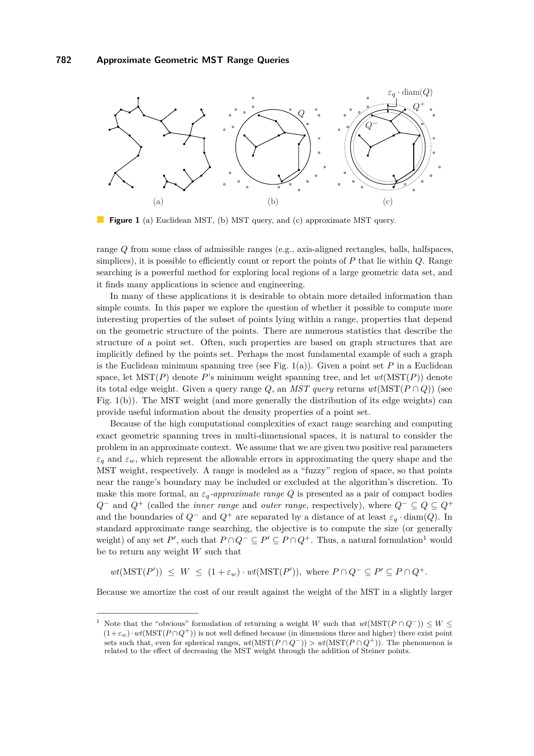<span id="page-1-0"></span>

 $\mathcal{L}_{\mathcal{A}}$ Figure 1 (a) Euclidean MST, (b) MST query, and (c) approximate MST query.

range *Q* from some class of admissible ranges (e.g., axis-aligned rectangles, balls, halfspaces, simplices), it is possible to efficiently count or report the points of *P* that lie within *Q*. Range searching is a powerful method for exploring local regions of a large geometric data set, and it finds many applications in science and engineering.

In many of these applications it is desirable to obtain more detailed information than simple counts. In this paper we explore the question of whether it possible to compute more interesting properties of the subset of points lying within a range, properties that depend on the geometric structure of the points. There are numerous statistics that describe the structure of a point set. Often, such properties are based on graph structures that are implicitly defined by the points set. Perhaps the most fundamental example of such a graph is the Euclidean minimum spanning tree (see Fig.  $1(a)$ ). Given a point set P in a Euclidean space, let  $MST(P)$  denote P's minimum weight spanning tree, and let  $wt(MST(P))$  denote its total edge weight. Given a query range *Q*, an *MST query* returns  $wt(MST(P \cap Q))$  (see Fig. [1\(](#page-1-0)b)). The MST weight (and more generally the distribution of its edge weights) can provide useful information about the density properties of a point set.

Because of the high computational complexities of exact range searching and computing exact geometric spanning trees in multi-dimensional spaces, it is natural to consider the problem in an approximate context. We assume that we are given two positive real parameters  $\varepsilon_q$  and  $\varepsilon_w$ , which represent the allowable errors in approximating the query shape and the MST weight, respectively. A range is modeled as a "fuzzy" region of space, so that points near the range's boundary may be included or excluded at the algorithm's discretion. To make this more formal, an  $\varepsilon_q$ *-approximate range*  $Q$  is presented as a pair of compact bodies *Q*<sup>−</sup> and *Q*<sup>+</sup> (called the *inner range* and *outer range*, respectively), where *Q*<sup>−</sup> ⊆ *Q* ⊆ *Q*<sup>+</sup> and the boundaries of  $Q^-$  and  $Q^+$  are separated by a distance of at least  $\varepsilon_q \cdot \text{diam}(Q)$ . In standard approximate range searching, the objective is to compute the size (or generally weight) of any set *P*<sup>'</sup>, such that  $P \cap Q^- \subseteq P' \subseteq P \cap Q^+$ . Thus, a natural formulation<sup>[1](#page-1-1)</sup> would be to return any weight *W* such that

 $wt(MST(P')) \leq W \leq (1+\varepsilon_w) \cdot wt(MST(P'))$ , where  $P \cap Q^- \subseteq P' \subseteq P \cap Q^+$ .

Because we amortize the cost of our result against the weight of the MST in a slightly larger

<span id="page-1-1"></span><sup>&</sup>lt;sup>1</sup> Note that the "obvious" formulation of returning a weight *W* such that  $wt(MST(P \cap Q^-)) \leq W \leq$  $(1+\varepsilon_w)\cdot wt(MST(P\cap Q^+))$  is not well defined because (in dimensions three and higher) there exist point sets such that, even for spherical ranges,  $wt(MST(P \cap Q^{-})) > wt(MST(P \cap Q^{+}))$ . The phenomenon is related to the effect of decreasing the MST weight through the addition of Steiner points.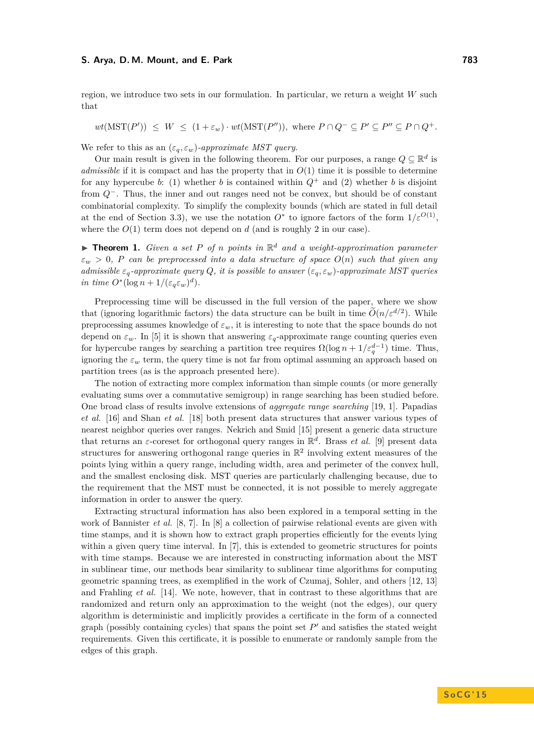region, we introduce two sets in our formulation. In particular, we return a weight *W* such that

 $wt(MST(P')) \leq W \leq (1+\varepsilon_w) \cdot wt(MST(P''))$ , where  $P \cap Q^- \subseteq P' \subseteq P'' \subseteq P \cap Q^+$ .

We refer to this as an  $(\varepsilon_q, \varepsilon_w)$ *-approximate MST query.* 

Our main result is given in the following theorem. For our purposes, a range  $Q \subseteq \mathbb{R}^d$  is *admissible* if it is compact and has the property that in  $O(1)$  time it is possible to determine for any hypercube *b*: (1) whether *b* is contained within  $Q^+$  and (2) whether *b* is disjoint from *Q*<sup>−</sup>. Thus, the inner and out ranges need not be convex, but should be of constant combinatorial complexity. To simplify the complexity bounds (which are stated in full detail at the end of Section [3.3\)](#page-12-0), we use the notation  $O^*$  to ignore factors of the form  $1/\varepsilon^{O(1)}$ , where the  $O(1)$  term does not depend on  $d$  (and is roughly 2 in our case).

<span id="page-2-0"></span>**Theorem 1.** *Given a set*  $P$  *of*  $n$  *points in*  $\mathbb{R}^d$  *and a weight-approximation parameter*  $\varepsilon_w > 0$ , *P* can be preprocessed into a data structure of space  $O(n)$  such that given any *admissible*  $\varepsilon_q$ -approximate query *Q*, it is possible to answer  $(\varepsilon_q, \varepsilon_w)$ -approximate MST queries *in time*  $O^*(\log n + 1/(\varepsilon_q \varepsilon_w)^d)$ *.* 

Preprocessing time will be discussed in the full version of the paper, where we show that (ignoring logarithmic factors) the data structure can be built in time  $O(n/\varepsilon^{d/2})$ . While preprocessing assumes knowledge of  $\varepsilon_w$ , it is interesting to note that the space bounds do not depend on  $\varepsilon_w$ . In [\[5\]](#page-14-1) it is shown that answering  $\varepsilon_q$ -approximate range counting queries even for hypercube ranges by searching a partition tree requires  $\Omega(\log n + 1/\varepsilon_q^{d-1})$  time. Thus, ignoring the  $\varepsilon_w$  term, the query time is not far from optimal assuming an approach based on partition trees (as is the approach presented here).

The notion of extracting more complex information than simple counts (or more generally evaluating sums over a commutative semigroup) in range searching has been studied before. One broad class of results involve extensions of *aggregate range searching* [\[19,](#page-14-2) [1\]](#page-14-3). Papadias *et al.* [\[16\]](#page-14-4) and Shan *et al.* [\[18\]](#page-14-5) both present data structures that answer various types of nearest neighbor queries over ranges. Nekrich and Smid [\[15\]](#page-14-6) present a generic data structure that returns an  $\varepsilon$ -coreset for orthogonal query ranges in  $\mathbb{R}^d$ . Brass *et al.* [\[9\]](#page-14-7) present data structures for answering orthogonal range queries in  $\mathbb{R}^2$  involving extent measures of the points lying within a query range, including width, area and perimeter of the convex hull, and the smallest enclosing disk. MST queries are particularly challenging because, due to the requirement that the MST must be connected, it is not possible to merely aggregate information in order to answer the query.

Extracting structural information has also been explored in a temporal setting in the work of Bannister *et al.* [\[8,](#page-14-8) [7\]](#page-14-9). In [\[8\]](#page-14-8) a collection of pairwise relational events are given with time stamps, and it is shown how to extract graph properties efficiently for the events lying within a given query time interval. In [\[7\]](#page-14-9), this is extended to geometric structures for points with time stamps. Because we are interested in constructing information about the MST in sublinear time, our methods bear similarity to sublinear time algorithms for computing geometric spanning trees, as exemplified in the work of Czumaj, Sohler, and others [\[12,](#page-14-10) [13\]](#page-14-11) and Frahling *et al.* [\[14\]](#page-14-12). We note, however, that in contrast to these algorithms that are randomized and return only an approximation to the weight (not the edges), our query algorithm is deterministic and implicitly provides a certificate in the form of a connected graph (possibly containing cycles) that spans the point set  $P'$  and satisfies the stated weight requirements. Given this certificate, it is possible to enumerate or randomly sample from the edges of this graph.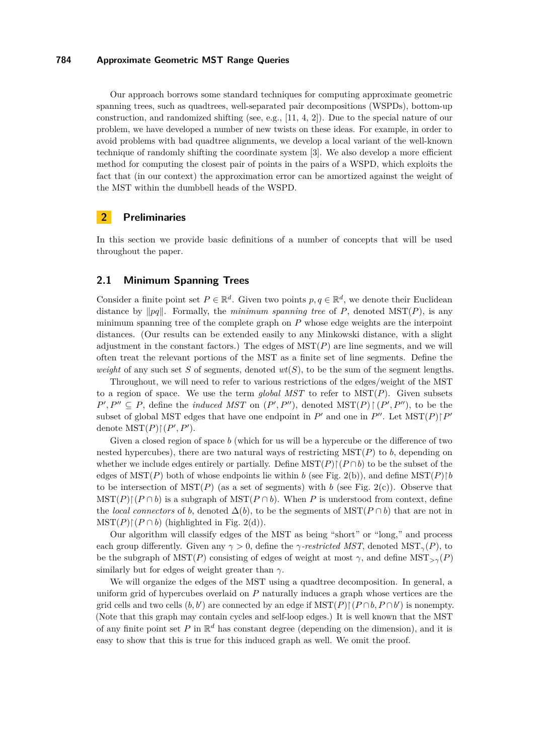Our approach borrows some standard techniques for computing approximate geometric spanning trees, such as quadtrees, well-separated pair decompositions (WSPDs), bottom-up construction, and randomized shifting (see, e.g., [\[11,](#page-14-13) [4,](#page-14-14) [2\]](#page-14-15)). Due to the special nature of our problem, we have developed a number of new twists on these ideas. For example, in order to avoid problems with bad quadtree alignments, we develop a local variant of the well-known technique of randomly shifting the coordinate system [\[3\]](#page-14-16). We also develop a more efficient method for computing the closest pair of points in the pairs of a WSPD, which exploits the fact that (in our context) the approximation error can be amortized against the weight of the MST within the dumbbell heads of the WSPD.

## **2 Preliminaries**

In this section we provide basic definitions of a number of concepts that will be used throughout the paper.

# **2.1 Minimum Spanning Trees**

Consider a finite point set  $P \in \mathbb{R}^d$ . Given two points  $p, q \in \mathbb{R}^d$ , we denote their Euclidean distance by  $\|pq\|$ . Formally, the *minimum spanning tree* of *P*, denoted MST(*P*), is any minimum spanning tree of the complete graph on *P* whose edge weights are the interpoint distances. (Our results can be extended easily to any Minkowski distance, with a slight adjustment in the constant factors.) The edges of  $MST(P)$  are line segments, and we will often treat the relevant portions of the MST as a finite set of line segments. Define the *weight* of any such set *S* of segments, denoted  $wt(S)$ , to be the sum of the segment lengths.

Throughout, we will need to refer to various restrictions of the edges/weight of the MST to a region of space. We use the term *global MST* to refer to MST(*P*). Given subsets  $P', P'' \subseteq P$ , define the *induced MST* on  $(P', P'')$ , denoted MST $(P) \upharpoonright (P', P'')$ , to be the subset of global MST edges that have one endpoint in  $P'$  and one in  $P''$ . Let  $MST(P) \upharpoonright P'$ denote  $\mathrm{MST}(P) \upharpoonright (P', P').$ 

Given a closed region of space *b* (which for us will be a hypercube or the difference of two nested hypercubes), there are two natural ways of restricting MST(*P*) to *b*, depending on whether we include edges entirely or partially. Define  $\text{MST}(P)$ <sup>[</sup> $(P \cap b)$ ] to be the subset of the edges of  $MST(P)$  both of whose endpoints lie within *b* (see Fig. [2\(](#page-4-0)b)), and define  $MST(P)[b]$ to be intersection of  $MST(P)$  (as a set of segments) with *b* (see Fig. [2\(](#page-4-0)c)). Observe that  $MST(P)[P \cap b]$  is a subgraph of  $MST(P \cap b)$ . When P is understood from context, define the *local connectors* of *b*, denoted  $\Delta(b)$ , to be the segments of MST( $P \cap b$ ) that are not in  $MST(P){\upharpoonright}(P \cap b)$  (highlighted in Fig. [2\(](#page-4-0)d)).

Our algorithm will classify edges of the MST as being "short" or "long," and process each group differently. Given any  $\gamma > 0$ , define the *γ-restricted MST*, denoted MST<sub>*γ</sub>*(*P*), to</sub> be the subgraph of  $MST(P)$  consisting of edges of weight at most  $\gamma$ , and define  $MST_{\gamma}(\gamma)$ similarly but for edges of weight greater than *γ*.

We will organize the edges of the MST using a quadtree decomposition. In general, a uniform grid of hypercubes overlaid on *P* naturally induces a graph whose vertices are the grid cells and two cells  $(b, b')$  are connected by an edge if  $MST(P)$ <sup> $\upharpoonright$ </sup> $(P \cap b, P \cap b')$  is nonempty. (Note that this graph may contain cycles and self-loop edges.) It is well known that the MST of any finite point set P in  $\mathbb{R}^d$  has constant degree (depending on the dimension), and it is easy to show that this is true for this induced graph as well. We omit the proof.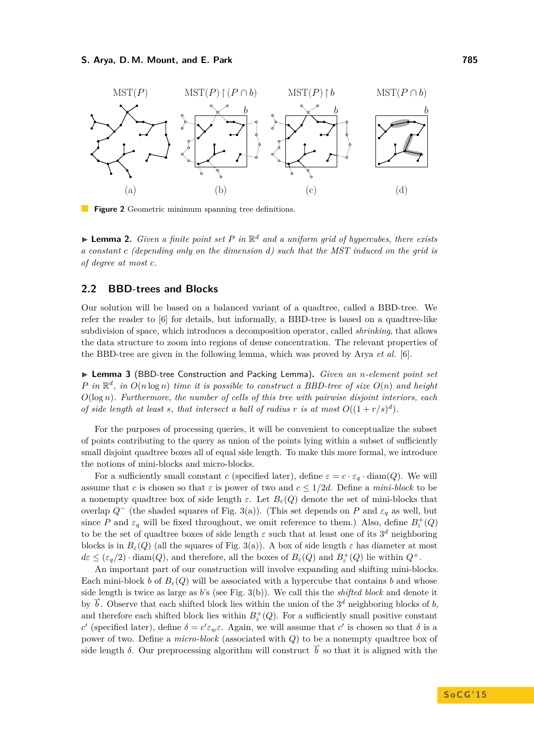<span id="page-4-0"></span>

**Figure 2** Geometric minimum spanning tree definitions.

 $\blacktriangleright$  **Lemma 2.** *Given a finite point set P in*  $\mathbb{R}^d$  *and a uniform grid of hypercubes, there exists a constant c (depending only on the dimension d) such that the MST induced on the grid is of degree at most c.*

## <span id="page-4-1"></span>**2.2 BBD-trees and Blocks**

Our solution will be based on a balanced variant of a quadtree, called a BBD-tree. We refer the reader to [\[6\]](#page-14-17) for details, but informally, a BBD-tree is based on a quadtree-like subdivision of space, which introduces a decomposition operator, called *shrinking*, that allows the data structure to zoom into regions of dense concentration. The relevant properties of the BBD-tree are given in the following lemma, which was proved by Arya *et al.* [\[6\]](#page-14-17).

▶ Lemma 3 (BBD-tree Construction and Packing Lemma). *Given an n-element point set*  $P$  *in*  $\mathbb{R}^d$ , *in*  $O(n \log n)$  *time it is possible to construct a BBD-tree of size*  $O(n)$  *and height O*(log *n*)*. Furthermore, the number of cells of this tree with pairwise disjoint interiors, each of side length at least s, that intersect a ball of radius r is at most*  $O((1+r/s)^d)$ *.* 

For the purposes of processing queries, it will be convenient to conceptualize the subset of points contributing to the query as union of the points lying within a subset of sufficiently small disjoint quadtree boxes all of equal side length. To make this more formal, we introduce the notions of mini-blocks and micro-blocks.

For a sufficiently small constant *c* (specified later), define  $\varepsilon = c \cdot \varepsilon_q \cdot \text{diam}(Q)$ . We will assume that *c* is chosen so that  $\varepsilon$  is power of two and  $c \leq 1/2d$ . Define a *mini-block* to be a nonempty quadtree box of side length  $\varepsilon$ . Let  $B_{\varepsilon}(Q)$  denote the set of mini-blocks that overlap  $Q^{-}$  (the shaded squares of Fig. [3\(](#page-5-0)a)). (This set depends on *P* and  $\varepsilon_{q}$  as well, but since *P* and  $\varepsilon_q$  will be fixed throughout, we omit reference to them.) Also, define  $B^+_\varepsilon(Q)$ to be the set of quadtree boxes of side length *ε* such that at least one of its 3 *<sup>d</sup>* neighboring blocks is in  $B_{\varepsilon}(Q)$  (all the squares of Fig. [3\(](#page-5-0)a)). A box of side length  $\varepsilon$  has diameter at most  $d\varepsilon \leq (\varepsilon_q/2) \cdot \text{diam}(Q)$ , and therefore, all the boxes of  $B_{\varepsilon}(Q)$  and  $B_{\varepsilon}^+(Q)$  lie within  $Q^+$ .

An important part of our construction will involve expanding and shifting mini-blocks. Each mini-block *b* of  $B_{\varepsilon}(Q)$  will be associated with a hypercube that contains *b* and whose side length is twice as large as *b*'s (see Fig. [3\(](#page-5-0)b)). We call this the *shifted block* and denote it by  $\vec{b}$ . Observe that each shifted block lies within the union of the 3<sup>d</sup> neighboring blocks of *b*, and therefore each shifted block lies within  $B_{\varepsilon}^{+}(Q)$ . For a sufficiently small positive constant *c*(specified later), define  $\delta = c' \varepsilon_w \varepsilon$ . Again, we will assume that *c*' is chosen so that *δ* is a power of two. Define a *micro-block* (associated with *Q*) to be a nonempty quadtree box of side length  $\delta$ . Our preprocessing algorithm will construct  $\vec{b}$  so that it is aligned with the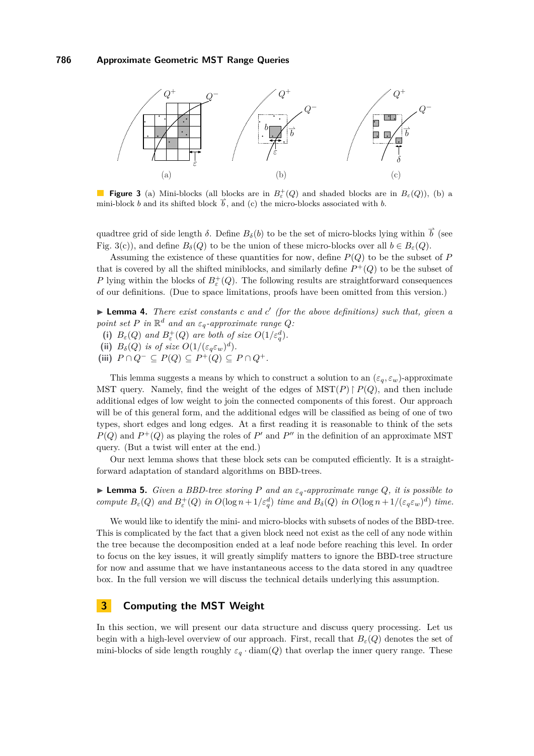<span id="page-5-0"></span>

**Figure 3** (a) Mini-blocks (all blocks are in  $B_{\varepsilon}^+(Q)$  and shaded blocks are in  $B_{\varepsilon}(Q)$ ), (b) a mini-block *b* and its shifted block  $\vec{b}$ , and (c) the micro-blocks associated with *b*.

quadtree grid of side length  $\delta$ . Define  $B_{\delta}(b)$  to be the set of micro-blocks lying within  $\vec{b}$  (see Fig. [3\(](#page-5-0)c)), and define  $B_\delta(Q)$  to be the union of these micro-blocks over all  $b \in B_\epsilon(Q)$ .

Assuming the existence of these quantities for now, define *P*(*Q*) to be the subset of *P* that is covered by all the shifted miniblocks, and similarly define  $P^+(Q)$  to be the subset of *P* lying within the blocks of  $B_{\varepsilon}^{+}(Q)$ . The following results are straightforward consequences of our definitions. (Due to space limitations, proofs have been omitted from this version.)

▶ **Lemma 4.** *There exist constants c* and *c*<sup>'</sup> (for the above definitions) such that, given a *point set P in*  $\mathbb{R}^d$  *and an*  $\varepsilon_q$ *-approximate range Q*:

- (i)  $B_{\varepsilon}(Q)$  *and*  $B_{\varepsilon}^{+}(Q)$  *are both of size*  $O(1/\varepsilon_q^d)$ *.*
- (ii)  $B_{\delta}(Q)$  *is of size*  $O(1/(\varepsilon_q \varepsilon_w)^d)$ *.*
- $\text{(iii)}$   $P \cap Q^- \subseteq P(Q) \subseteq P^+(Q) \subseteq P \cap Q^+.$

This lemma suggests a means by which to construct a solution to an  $(\varepsilon_q, \varepsilon_w)$ -approximate MST query. Namely, find the weight of the edges of  $MST(P)$   $P(Q)$ , and then include additional edges of low weight to join the connected components of this forest. Our approach will be of this general form, and the additional edges will be classified as being of one of two types, short edges and long edges. At a first reading it is reasonable to think of the sets  $P(Q)$  and  $P^+(Q)$  as playing the roles of  $P'$  and  $P''$  in the definition of an approximate MST query. (But a twist will enter at the end.)

Our next lemma shows that these block sets can be computed efficiently. It is a straightforward adaptation of standard algorithms on BBD-trees.

**If Lemma 5.** *Given a BBD-tree storing P and an*  $\varepsilon_q$ -approximate range *Q, it is possible to* compute  $B_{\varepsilon}(Q)$  and  $B_{\varepsilon}^{+}(Q)$  in  $O(\log n + 1/\varepsilon_q^d)$  time and  $B_{\delta}(Q)$  in  $O(\log n + 1/(\varepsilon_q \varepsilon_w)^d)$  time.

We would like to identify the mini- and micro-blocks with subsets of nodes of the BBD-tree. This is complicated by the fact that a given block need not exist as the cell of any node within the tree because the decomposition ended at a leaf node before reaching this level. In order to focus on the key issues, it will greatly simplify matters to ignore the BBD-tree structure for now and assume that we have instantaneous access to the data stored in any quadtree box. In the full version we will discuss the technical details underlying this assumption.

# <span id="page-5-1"></span>**3 Computing the MST Weight**

In this section, we will present our data structure and discuss query processing. Let us begin with a high-level overview of our approach. First, recall that  $B_{\varepsilon}(Q)$  denotes the set of mini-blocks of side length roughly  $\varepsilon_q \cdot \text{diam}(Q)$  that overlap the inner query range. These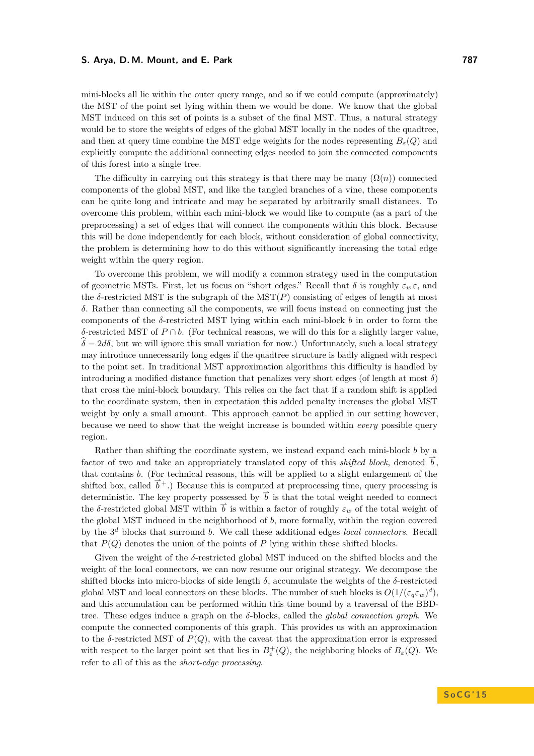mini-blocks all lie within the outer query range, and so if we could compute (approximately) the MST of the point set lying within them we would be done. We know that the global MST induced on this set of points is a subset of the final MST. Thus, a natural strategy would be to store the weights of edges of the global MST locally in the nodes of the quadtree, and then at query time combine the MST edge weights for the nodes representing  $B_{\varepsilon}(Q)$  and explicitly compute the additional connecting edges needed to join the connected components of this forest into a single tree.

The difficulty in carrying out this strategy is that there may be many  $(\Omega(n))$  connected components of the global MST, and like the tangled branches of a vine, these components can be quite long and intricate and may be separated by arbitrarily small distances. To overcome this problem, within each mini-block we would like to compute (as a part of the preprocessing) a set of edges that will connect the components within this block. Because this will be done independently for each block, without consideration of global connectivity, the problem is determining how to do this without significantly increasing the total edge weight within the query region.

To overcome this problem, we will modify a common strategy used in the computation of geometric MSTs. First, let us focus on "short edges." Recall that  $\delta$  is roughly  $\varepsilon_w \varepsilon$ , and the  $\delta$ -restricted MST is the subgraph of the MST(*P*) consisting of edges of length at most *δ*. Rather than connecting all the components, we will focus instead on connecting just the components of the *δ*-restricted MST lying within each mini-block *b* in order to form the *δ*-restricted MST of *P* ∩ *b*. (For technical reasons, we will do this for a slightly larger value,  $\widehat{\delta} = 2d\delta$ , but we will ignore this small variation for now.) Unfortunately, such a local strategy may introduce unnecessarily long edges if the quadtree structure is badly aligned with respect to the point set. In traditional MST approximation algorithms this difficulty is handled by introducing a modified distance function that penalizes very short edges (of length at most  $\delta$ ) that cross the mini-block boundary. This relies on the fact that if a random shift is applied to the coordinate system, then in expectation this added penalty increases the global MST weight by only a small amount. This approach cannot be applied in our setting however, because we need to show that the weight increase is bounded within *every* possible query region.

Rather than shifting the coordinate system, we instead expand each mini-block *b* by a factor of two and take an appropriately translated copy of this *shifted block*, denoted  $\vec{b}$ , that contains *b*. (For technical reasons, this will be applied to a slight enlargement of the shifted box, called  $\vec{b}^+$ .) Because this is computed at preprocessing time, query processing is deterministic. The key property possessed by  $\vec{b}$  is that the total weight needed to connect the  $\delta$ -restricted global MST within  $\vec{b}$  is within a factor of roughly  $\varepsilon_w$  of the total weight of the global MST induced in the neighborhood of *b*, more formally, within the region covered by the 3 *<sup>d</sup>* blocks that surround *b*. We call these additional edges *local connectors*. Recall that  $P(Q)$  denotes the union of the points of P lying within these shifted blocks.

Given the weight of the *δ*-restricted global MST induced on the shifted blocks and the weight of the local connectors, we can now resume our original strategy. We decompose the shifted blocks into micro-blocks of side length  $\delta$ , accumulate the weights of the  $\delta$ -restricted global MST and local connectors on these blocks. The number of such blocks is  $O(1/(\varepsilon_q \varepsilon_w)^d)$ , and this accumulation can be performed within this time bound by a traversal of the BBDtree. These edges induce a graph on the *δ*-blocks, called the *global connection graph*. We compute the connected components of this graph. This provides us with an approximation to the  $\delta$ -restricted MST of  $P(Q)$ , with the caveat that the approximation error is expressed with respect to the larger point set that lies in  $B_{\varepsilon}^+(Q)$ , the neighboring blocks of  $B_{\varepsilon}(Q)$ . We refer to all of this as the *short-edge processing*.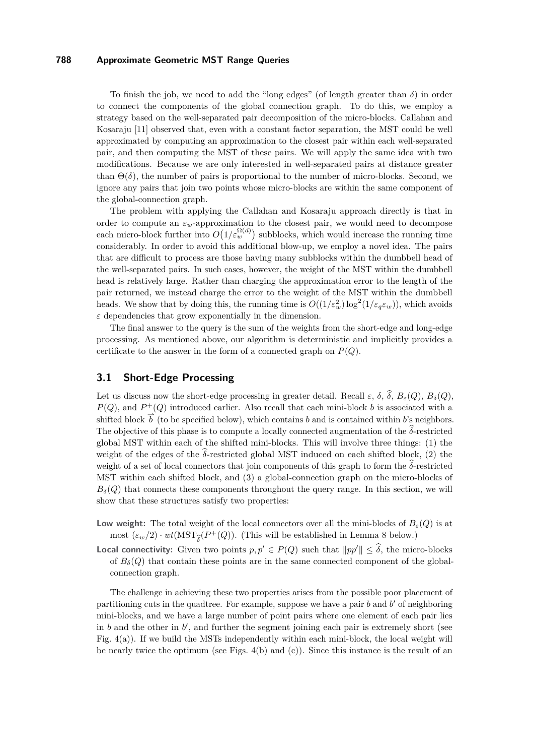To finish the job, we need to add the "long edges" (of length greater than  $\delta$ ) in order to connect the components of the global connection graph. To do this, we employ a strategy based on the well-separated pair decomposition of the micro-blocks. Callahan and Kosaraju [\[11\]](#page-14-13) observed that, even with a constant factor separation, the MST could be well approximated by computing an approximation to the closest pair within each well-separated pair, and then computing the MST of these pairs. We will apply the same idea with two modifications. Because we are only interested in well-separated pairs at distance greater than  $\Theta(\delta)$ , the number of pairs is proportional to the number of micro-blocks. Second, we ignore any pairs that join two points whose micro-blocks are within the same component of the global-connection graph.

The problem with applying the Callahan and Kosaraju approach directly is that in order to compute an  $\varepsilon_w$ -approximation to the closest pair, we would need to decompose each micro-block further into  $O(1/\varepsilon_w^{\Omega(d)})$  subblocks, which would increase the running time considerably. In order to avoid this additional blow-up, we employ a novel idea. The pairs that are difficult to process are those having many subblocks within the dumbbell head of the well-separated pairs. In such cases, however, the weight of the MST within the dumbbell head is relatively large. Rather than charging the approximation error to the length of the pair returned, we instead charge the error to the weight of the MST within the dumbbell heads. We show that by doing this, the running time is  $O((1/\varepsilon_w^2) \log^2(1/\varepsilon_q \varepsilon_w))$ , which avoids *ε* dependencies that grow exponentially in the dimension.

The final answer to the query is the sum of the weights from the short-edge and long-edge processing. As mentioned above, our algorithm is deterministic and implicitly provides a certificate to the answer in the form of a connected graph on  $P(Q)$ .

## **3.1 Short-Edge Processing**

Let us discuss now the short-edge processing in greater detail. Recall  $\varepsilon$ ,  $\delta$ ,  $\hat{\delta}$ ,  $B_{\varepsilon}(Q)$ ,  $B_{\delta}(Q)$ ,  $P(Q)$ , and  $P^+(Q)$  introduced earlier. Also recall that each mini-block *b* is associated with a shifted block  $\overrightarrow{b}$  (to be specified below), which contains *b* and is contained within *b*'s neighbors. The objective of this phase is to compute a locally connected augmentation of the  $\hat{\delta}$ -restricted global MST within each of the shifted mini-blocks. This will involve three things: (1) the weight of the edges of the  $\delta$ -restricted global MST induced on each shifted block, (2) the weight of a set of local connectors that join components of this graph to form the  $\delta$ -restricted MST within each shifted block, and (3) a global-connection graph on the micro-blocks of  $B_\delta(Q)$  that connects these components throughout the query range. In this section, we will show that these structures satisfy two properties:

- **Low weight:** The total weight of the local connectors over all the mini-blocks of  $B_{\varepsilon}(Q)$  is at most  $(\varepsilon_w/2) \cdot wt(MST_{\hat{\lambda}}(P^+(Q))$ . (This will be established in Lemma [8](#page-10-0) below.)
- **Local connectivity:** Given two points  $p, p' \in P(Q)$  such that  $||pp'|| \leq \hat{\delta}$ , the micro-blocks of  $B_\delta(Q)$  that contain these points are in the same connected component of the globalconnection graph.

The challenge in achieving these two properties arises from the possible poor placement of partitioning cuts in the quadtree. For example, suppose we have a pair  $b$  and  $b'$  of neighboring mini-blocks, and we have a large number of point pairs where one element of each pair lies in  $b$  and the other in  $b'$ , and further the segment joining each pair is extremely short (see Fig. [4\(](#page-8-0)a)). If we build the MSTs independently within each mini-block, the local weight will be nearly twice the optimum (see Figs.  $4(b)$  and (c)). Since this instance is the result of an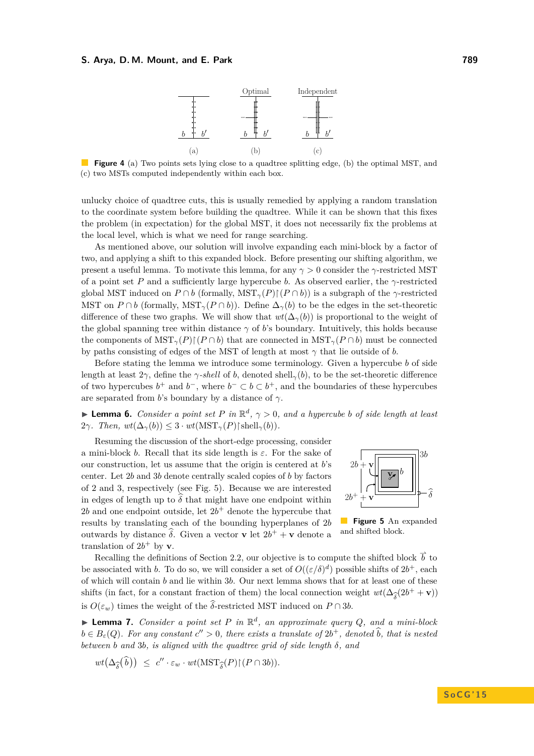

<span id="page-8-0"></span>**Figure 4** (a) Two points sets lying close to a quadtree splitting edge, (b) the optimal MST, and (c) two MSTs computed independently within each box.

unlucky choice of quadtree cuts, this is usually remedied by applying a random translation to the coordinate system before building the quadtree. While it can be shown that this fixes the problem (in expectation) for the global MST, it does not necessarily fix the problems at the local level, which is what we need for range searching.

As mentioned above, our solution will involve expanding each mini-block by a factor of two, and applying a shift to this expanded block. Before presenting our shifting algorithm, we present a useful lemma. To motivate this lemma, for any *γ >* 0 consider the *γ*-restricted MST of a point set *P* and a sufficiently large hypercube *b*. As observed earlier, the *γ*-restricted global MST induced on  $P \cap b$  (formally, MST<sub> $\gamma$ </sub>( $P$ )( $P \cap b$ )) is a subgraph of the  $\gamma$ -restricted MST on  $P \cap b$  (formally, MST<sub>*γ*</sub>( $P \cap b$ )). Define  $\Delta_{\gamma}(b)$  to be the edges in the set-theoretic difference of these two graphs. We will show that  $wt(\Delta_{\gamma}(b))$  is proportional to the weight of the global spanning tree within distance  $\gamma$  of *b*'s boundary. Intuitively, this holds because the components of  $MST_{\gamma}(P)(P \cap b)$  that are connected in  $MST_{\gamma}(P \cap b)$  must be connected by paths consisting of edges of the MST of length at most *γ* that lie outside of *b*.

Before stating the lemma we introduce some terminology. Given a hypercube *b* of side length at least  $2\gamma$ , define the *γ-shell* of *b*, denoted shell<sub>γ</sub>(*b*), to be the set-theoretic difference of two hypercubes  $b^+$  and  $b^-$ , where  $b^- \subset b \subset b^+$ , and the boundaries of these hypercubes are separated from *b*'s boundary by a distance of  $\gamma$ .

**Example 6.** Consider a point set P in  $\mathbb{R}^d$ ,  $\gamma > 0$ , and a hypercube b of side length at least  $2\gamma$ *. Then,*  $wt(\Delta_{\gamma}(b)) \leq 3 \cdot wt(MST_{\gamma}(P))$  shell<sub>γ</sub>(*b*))*.* 

Resuming the discussion of the short-edge processing, consider a mini-block *b*. Recall that its side length is *ε*. For the sake of our construction, let us assume that the origin is centered at *b*'s center. Let 2*b* and 3*b* denote centrally scaled copies of *b* by factors of 2 and 3, respectively (see Fig. [5\)](#page-8-1). Because we are interested in edges of length up to  $\hat{\delta}$  that might have one endpoint within 2*b* and one endpoint outside, let  $2b^+$  denote the hypercube that results by translating each of the bounding hyperplanes of 2*b* outwards by distance  $\hat{\delta}$ . Given a vector **v** let  $2b^+ + \mathbf{v}$  denote a translation of  $2b^+$  by **v**.

<span id="page-8-1"></span>

**Figure 5** An expanded and shifted block.

Recalling the definitions of Section [2.2,](#page-4-1) our objective is to compute the shifted block  $\vec{b}$  to be associated with *b*. To do so, we will consider a set of  $O((\varepsilon/\delta)^d)$  possible shifts of  $2b^+$ , each of which will contain *b* and lie within 3*b*. Our next lemma shows that for at least one of these shifts (in fact, for a constant fraction of them) the local connection weight  $wt(\Delta_{\hat{\delta}}(2b^+ + \mathbf{v}))$ <br>is  $O(\varepsilon)$  times the weight of the  $\hat{\delta}$ -restricted MST induced on  $P \cap 3b$ is  $O(\varepsilon_w)$  times the weight of the  $\widehat{\delta}$ -restricted MST induced on  $P \cap 3b$ .

 $\blacktriangleright$  **Lemma 7.** *Consider a point set P in*  $\mathbb{R}^d$ *, an approximate query Q, and a mini-block*  $b \in B_{\varepsilon}(Q)$ . For any constant  $c'' > 0$ , there exists a translate of  $2b^+$ , denoted  $\hat{b}$ , that is nested *between b and* 3*b, is aligned with the quadtree grid of side length δ, and*

$$
wt(\Delta_{\widehat{\delta}}(\widehat{b})) \leq c'' \cdot \varepsilon_w \cdot wt(MST_{\widehat{\delta}}(P) \upharpoonright (P \cap 3b)).
$$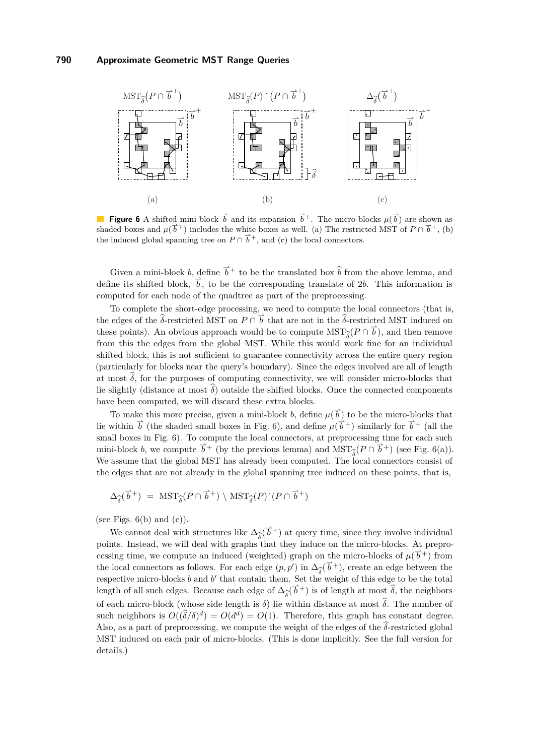<span id="page-9-0"></span>

**Figure 6** A shifted mini-block  $\vec{b}$  and its expansion  $\vec{b}^+$ . The micro-blocks  $\mu(\vec{b})$  are shown as shaded boxes and  $\mu(\vec{b}^+)$  includes the white boxes as well. (a) The restricted MST of  $P \cap \vec{b}^+$ , (b) the induced global spanning tree on  $P \cap \vec{b}^+$ , and (c) the local connectors.

Given a mini-block *b*, define  $\vec{b}^+$  to be the translated box  $\hat{b}$  from the above lemma, and define its shifted block,  $\vec{b}$ , to be the corresponding translate of 2*b*. This information is computed for each node of the quadtree as part of the preprocessing.

To complete the short-edge processing, we need to compute the local connectors (that is, the edges of the  $\hat{\delta}$ -restricted MST on  $P \cap \overrightarrow{b}$  that are not in the  $\hat{\delta}$ -restricted MST induced on these points). An obvious approach would be to compute  $\mathrm{MST}_{\hat{\delta}}(P \cap \vec{b})$ , and then remove from this the edges from the global MST. While this would work fine for an individual shifted block, this is not sufficient to guarantee connectivity across the entire query region (particularly for blocks near the query's boundary). Since the edges involved are all of length at most  $\hat{\delta}$ , for the purposes of computing connectivity, we will consider micro-blocks that lie slightly (distance at most  $\delta$ ) outside the shifted blocks. Once the connected components have been computed, we will discard these extra blocks.

To make this more precise, given a mini-block *b*, define  $\mu(\vec{b})$  to be the micro-blocks that lie within  $\vec{b}$  (the shaded small boxes in Fig. [6\)](#page-9-0), and define  $\mu(\vec{b}^+)$  similarly for  $\vec{b}^+$  (all the small boxes in Fig. [6\)](#page-9-0). To compute the local connectors, at preprocessing time for each such mini-block *b*, we compute  $\vec{b}^+$  (by the previous lemma) and  $\text{MST}_{\hat{\delta}}(P \cap \vec{b}^+)$  (see Fig. [6\(](#page-9-0)a)).  $\frac{1}{\delta}$  We assume that the global MST has already been computed. The local connectors consist of the edges that are not already in the global spanning tree induced on these points, that is,

$$
\Delta_{\widehat{\delta}}(\overrightarrow{b}^+) = \mathrm{MST}_{\widehat{\delta}}(P \cap \overrightarrow{b}^+) \setminus \mathrm{MST}_{\widehat{\delta}}(P) \upharpoonright (P \cap \overrightarrow{b}^+)
$$

(see Figs.  $6(b)$  and  $(c)$ ).

We cannot deal with structures like  $\Delta_{\widehat{\mathfrak{X}}}(\overrightarrow{b}^+)$  at query time, since they involve individual points. Instead, we will deal with graphs that they induce on the micro-blocks. At preprocessing time, we compute an induced (weighted) graph on the micro-blocks of  $\mu(\vec{b}^+)$  from the local connectors as follows. For each edge  $(p, p')$  in  $\Delta_{\widehat{\mathcal{K}}}(\overrightarrow{b}^+)$ , create an edge between the board bold contractions as follows. For each edge  $(p, p)$  in  $\Delta_{\delta}(v)$ , section an edge between the respective micro-blocks *b* and *b*<sup> $\prime$ </sup> that contain them. Set the weight of this edge to be the total length of all such edges. Because each edge of  $\Delta_{\widehat{\delta}}(\overrightarrow{b}^+)$  is of length at most  $\widehat{\delta}$ , the neighbors b*δ* of each micro-block (whose side length is  $\delta$ ) lie within distance at most  $\delta$ . The number of such neighbors is  $O((\delta/\delta)^d) = O(d^d) = O(1)$ . Therefore, this graph has constant degree. Also, as a part of preprocessing, we compute the weight of the edges of the  $\delta$ -restricted global MST induced on each pair of micro-blocks. (This is done implicitly. See the full version for details.)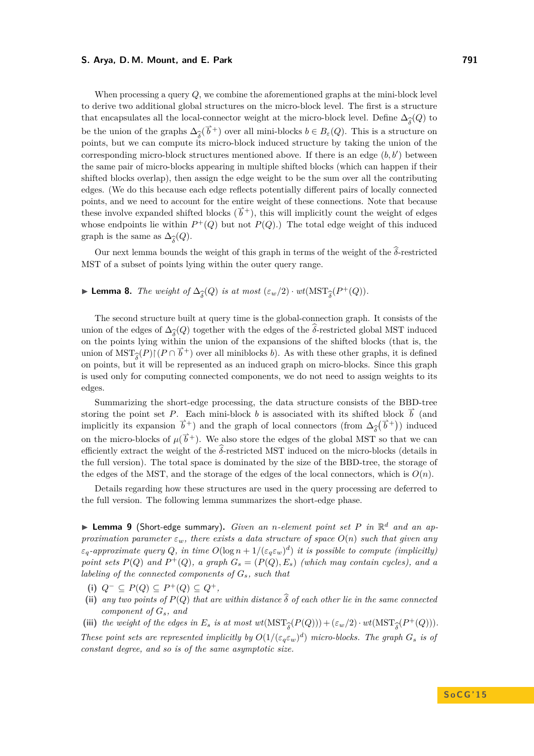When processing a query *Q*, we combine the aforementioned graphs at the mini-block level to derive two additional global structures on the micro-block level. The first is a structure that encapsulates all the local-connector weight at the micro-block level. Define  $\Delta_{\hat{\lambda}}(Q)$  to both the union of the graphs  $\Delta_{\hat{\delta}}(\vec{b}^+)$  over all mini-blocks  $b \in B_{\varepsilon}(Q)$ . This is a structure on bo $\delta$  is the dinom of the graphs  $\Delta_{\delta}(\delta)$  for an initial blocks  $\delta \in E_{\epsilon}(\delta)$ . This is a structure on points, but we can compute its micro-block induced structure by taking the union of the corresponding micro-block structures mentioned above. If there is an edge  $(b, b')$  between the same pair of micro-blocks appearing in multiple shifted blocks (which can happen if their shifted blocks overlap), then assign the edge weight to be the sum over all the contributing edges. (We do this because each edge reflects potentially different pairs of locally connected points, and we need to account for the entire weight of these connections. Note that because these involve expanded shifted blocks  $(\vec{b}^+)$ , this will implicitly count the weight of edges whose endpoints lie within  $P^+(Q)$  but not  $P(Q)$ .) The total edge weight of this induced graph is the same as  $\Delta_{\widehat{s}}(Q)$ . b*δ*

Our next lemma bounds the weight of this graph in terms of the weight of the  $\delta$ -restricted MST of a subset of points lying within the outer query range.

<span id="page-10-0"></span>► **Lemma 8.** *The weight of*  $\Delta_{\widehat{\delta}}(Q)$  *is at most*  $(\epsilon_w/2) \cdot wt(MST_{\widehat{\delta}}(P^+(Q)).$ 

The second structure built at query time is the global-connection graph. It consists of the union of the edges of  $\Delta_{\widehat{\delta}}(Q)$  together with the edges of the *δ*-restricted global MST induced on the points lying within the union of the expansions of the shifted blocks (that is, the union of  $\widehat{\text{MST}_{\widehat{\delta}}(P)}$  ( $P \cap \overrightarrow{b}^+$ ) over all miniblocks *b*). As with these other graphs, it is defined  $\delta$ <sup>6</sup>  $\delta$  on points, but it will be represented as an induced graph on micro-blocks. Since this graph is used only for computing connected components, we do not need to assign weights to its edges.

Summarizing the short-edge processing, the data structure consists of the BBD-tree storing the point set *P*. Each mini-block *b* is associated with its shifted block  $\vec{b}$  (and implicitly its expansion  $\vec{b}^+$ ) and the graph of local connectors (from  $\Delta_{\widehat{s}}(\vec{b}^+)$ ) induced on the micro-blocks of  $\mu(\vec{b}^+)$ . We also store the edges of the global MST so that we can efficiently extract the weight of the  $\hat{\delta}$ -restricted MST induced on the micro-blocks (details in the full version). The total space is dominated by the size of the BBD-tree, the storage of the edges of the MST, and the storage of the edges of the local connectors, which is  $O(n)$ .

Details regarding how these structures are used in the query processing are deferred to the full version. The following lemma summarizes the short-edge phase.

<span id="page-10-1"></span>▶ Lemma 9 (Short-edge summary). *Given an n-element point set P* in  $\mathbb{R}^d$  and an ap*proximation parameter*  $\varepsilon_w$ *, there exists a data structure of space*  $O(n)$  *such that given any*  $\varepsilon_q$ *-approximate query Q*, *in time*  $O(\log n + 1/(\varepsilon_q \varepsilon_w)^d)$  *it is possible to compute (implicitly) point sets*  $P(Q)$  *and*  $P^+(Q)$ *, a graph*  $G_s = (P(Q), E_s)$  *(which may contain cycles), and a labeling of the connected components of Gs, such that*

 $(i)$   $Q^-$  ⊆  $P(Q)$  ⊆  $P^+(Q)$  ⊆  $Q^+$ *,* 

- (ii) any two points of  $P(Q)$  that are within distance  $\hat{\delta}$  of each other lie in the same connected *component of Gs, and*
- (iii) *the weight of the edges in*  $E_s$  *is at most wt*(MST<sub> $\hat{\delta}(P(Q))$ ) + ( $\varepsilon_w/2$ )·*wt*(MST<sub> $\hat{\delta}(P^+(Q))$ )*.*<br>*These point acts are represented implicitly by*  $O(1/(\varepsilon \epsilon)^d)$  *migro blocks. The graph*  $C$  *<i>is of*</sub></sub>

*These point sets are represented implicitly by*  $O(1/(\epsilon_q \epsilon_w)^d)$  *micro-blocks. The graph*  $G_s$  *is of constant degree, and so is of the same asymptotic size.*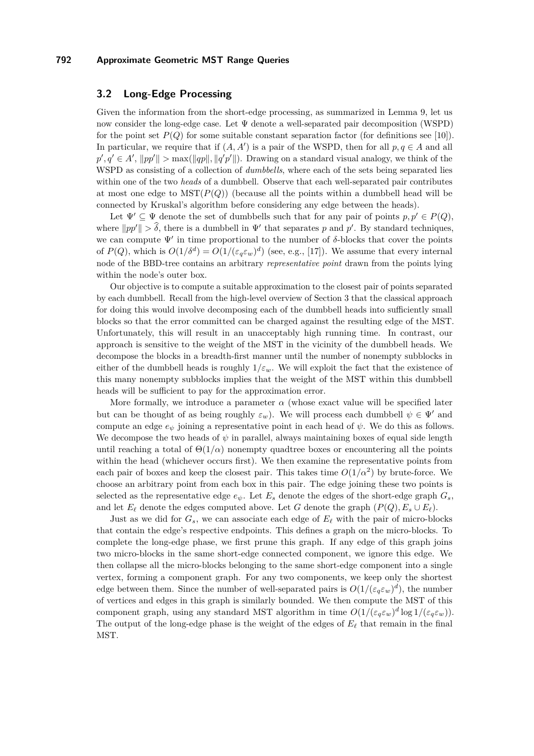## **3.2 Long-Edge Processing**

Given the information from the short-edge processing, as summarized in Lemma [9,](#page-10-1) let us now consider the long-edge case. Let  $\Psi$  denote a well-separated pair decomposition (WSPD) for the point set  $P(Q)$  for some suitable constant separation factor (for definitions see [\[10\]](#page-14-18)). In particular, we require that if  $(A, A')$  is a pair of the WSPD, then for all  $p, q \in A$  and all  $p', q' \in A', ||pp'|| > \max(||qp||, ||q'p'||)$ . Drawing on a standard visual analogy, we think of the WSPD as consisting of a collection of *dumbbells*, where each of the sets being separated lies within one of the two *heads* of a dumbbell. Observe that each well-separated pair contributes at most one edge to  $MST(P(Q))$  (because all the points within a dumbbell head will be connected by Kruskal's algorithm before considering any edge between the heads).

Let  $\Psi' \subseteq \Psi$  denote the set of dumbbells such that for any pair of points  $p, p' \in P(Q)$ , where  $\|pp'\| > \hat{\delta}$ , there is a dumbbell in  $\Psi'$  that separates *p* and *p'*. By standard techniques, we can compute  $\Psi'$  in time proportional to the number of  $\delta$ -blocks that cover the points of  $P(Q)$ , which is  $O(1/\delta^d) = O(1/(\varepsilon_q \varepsilon_w)^d)$  (see, e.g., [\[17\]](#page-14-19)). We assume that every internal node of the BBD-tree contains an arbitrary *representative point* drawn from the points lying within the node's outer box.

Our objective is to compute a suitable approximation to the closest pair of points separated by each dumbbell. Recall from the high-level overview of Section [3](#page-5-1) that the classical approach for doing this would involve decomposing each of the dumbbell heads into sufficiently small blocks so that the error committed can be charged against the resulting edge of the MST. Unfortunately, this will result in an unacceptably high running time. In contrast, our approach is sensitive to the weight of the MST in the vicinity of the dumbbell heads. We decompose the blocks in a breadth-first manner until the number of nonempty subblocks in either of the dumbbell heads is roughly  $1/\varepsilon_w$ . We will exploit the fact that the existence of this many nonempty subblocks implies that the weight of the MST within this dumbbell heads will be sufficient to pay for the approximation error.

More formally, we introduce a parameter  $\alpha$  (whose exact value will be specified later but can be thought of as being roughly  $\varepsilon_w$ ). We will process each dumbbell  $\psi \in \Psi'$  and compute an edge  $e_{\psi}$  joining a representative point in each head of  $\psi$ . We do this as follows. We decompose the two heads of  $\psi$  in parallel, always maintaining boxes of equal side length until reaching a total of  $\Theta(1/\alpha)$  nonempty quadtree boxes or encountering all the points within the head (whichever occurs first). We then examine the representative points from each pair of boxes and keep the closest pair. This takes time  $O(1/\alpha^2)$  by brute-force. We choose an arbitrary point from each box in this pair. The edge joining these two points is selected as the representative edge  $e_{\psi}$ . Let  $E_{s}$  denote the edges of the short-edge graph  $G_{s}$ , and let  $E_\ell$  denote the edges computed above. Let *G* denote the graph  $(P(Q), E_s \cup E_\ell)$ .

Just as we did for  $G_s$ , we can associate each edge of  $E_\ell$  with the pair of micro-blocks that contain the edge's respective endpoints. This defines a graph on the micro-blocks. To complete the long-edge phase, we first prune this graph. If any edge of this graph joins two micro-blocks in the same short-edge connected component, we ignore this edge. We then collapse all the micro-blocks belonging to the same short-edge component into a single vertex, forming a component graph. For any two components, we keep only the shortest edge between them. Since the number of well-separated pairs is  $O(1/(\varepsilon_q \varepsilon_w)^d)$ , the number of vertices and edges in this graph is similarly bounded. We then compute the MST of this component graph, using any standard MST algorithm in time  $O(1/(\varepsilon_q \varepsilon_w)^d \log 1/(\varepsilon_q \varepsilon_w))$ . The output of the long-edge phase is the weight of the edges of  $E_\ell$  that remain in the final MST.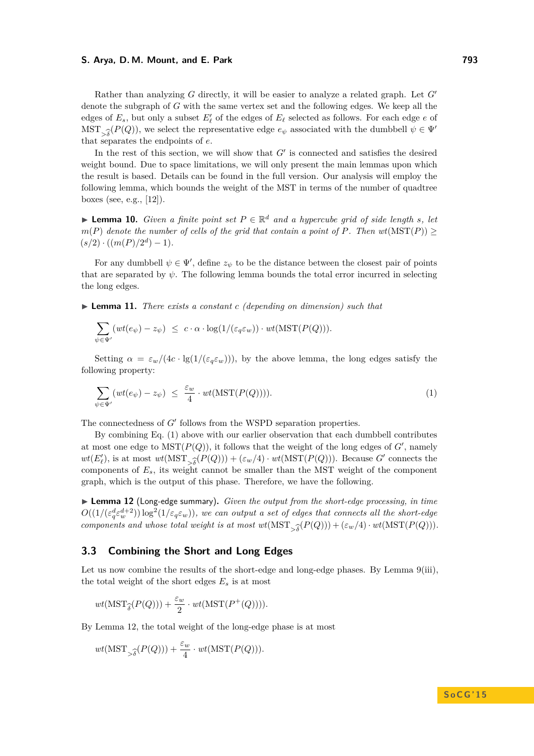Rather than analyzing  $G$  directly, it will be easier to analyze a related graph. Let  $G'$ denote the subgraph of *G* with the same vertex set and the following edges. We keep all the edges of  $E_s$ , but only a subset  $E'_\ell$  of the edges of  $E_\ell$  selected as follows. For each edge  $e$  of  $MST_{\leq \hat{\lambda}}(P(Q))$ , we select the representative edge  $e_{\psi}$  associated with the dumbbell  $\psi \in \Psi'$ that separates the endpoints of *e*.

In the rest of this section, we will show that  $G'$  is connected and satisfies the desired weight bound. Due to space limitations, we will only present the main lemmas upon which the result is based. Details can be found in the full version. Our analysis will employ the following lemma, which bounds the weight of the MST in terms of the number of quadtree boxes (see, e.g., [\[12\]](#page-14-10)).

▶ **Lemma 10.** *Given a finite point set*  $P \in \mathbb{R}^d$  *and a hypercube grid of side length s, let m*(*P*) *denote the number of cells of the grid that contain a point of <i>P.* Then  $wt(MST(P)) \ge$  $(s/2) \cdot ((m(P)/2^d) - 1).$ 

For any dumbbell  $\psi \in \Psi'$ , define  $z_{\psi}$  to be the distance between the closest pair of points that are separated by  $\psi$ . The following lemma bounds the total error incurred in selecting the long edges.

I **Lemma 11.** *There exists a constant c (depending on dimension) such that*

$$
\sum_{\psi \in \Psi'} (wt(e_{\psi}) - z_{\psi}) \leq c \cdot \alpha \cdot \log(1/(\varepsilon_{q} \varepsilon_{w})) \cdot wt(MST(P(Q))).
$$

Setting  $\alpha = \varepsilon_w/(4c \cdot \lg(1/(\varepsilon_q \varepsilon_w)))$ , by the above lemma, the long edges satisfy the following property:

<span id="page-12-1"></span>
$$
\sum_{\psi \in \Psi'} (wt(e_{\psi}) - z_{\psi}) \leq \frac{\varepsilon_w}{4} \cdot wt(MST(P(Q)))) \tag{1}
$$

The connectedness of  $G'$  follows from the WSPD separation properties.

By combining Eq. [\(1\)](#page-12-1) above with our earlier observation that each dumbbell contributes at most one edge to  $MST(P(Q))$ , it follows that the weight of the long edges of  $G'$ , namely  $wt(E'_{\ell})$ , is at most  $wt(MST_{\leq \widehat{\delta}}(P(Q))) + (\varepsilon_w/4) \cdot wt(MST(P(Q)))$ . Because *G'* connects the components of  $E_s$ , its weight cannot be smaller than the MST weight of the components graph, which is the output of this phase. Therefore, we have the following.

<span id="page-12-2"></span>▶ Lemma 12 (Long-edge summary). *Given the output from the short-edge processing, in time*  $O((1/(\varepsilon_q^d \varepsilon_w^{d+2}))\log^2(1/\varepsilon_q \varepsilon_w))$ , we can output a set of edges that connects all the short-edge *components and whose total weight is at most*  $wt(MST_{\geq \widehat{\delta}}(P(Q))) + (\varepsilon_w/4) \cdot wt(MST(P(Q)))$ *.* 

### <span id="page-12-0"></span>**3.3 Combining the Short and Long Edges**

Let us now combine the results of the short-edge and long-edge phases. By Lemma  $9(iii)$ , the total weight of the short edges  $E_s$  is at most

$$
wt(\mathrm{MST}_{\widehat{\delta}}(P(Q))) + \frac{\varepsilon_w}{2} \cdot wt(\mathrm{MST}(P^+(Q))))
$$

By Lemma [12,](#page-12-2) the total weight of the long-edge phase is at most

$$
wt(\mathrm{MST}_{>\widehat{\delta}}(P(Q))) + \frac{\varepsilon_w}{4} \cdot wt(\mathrm{MST}(P(Q))).
$$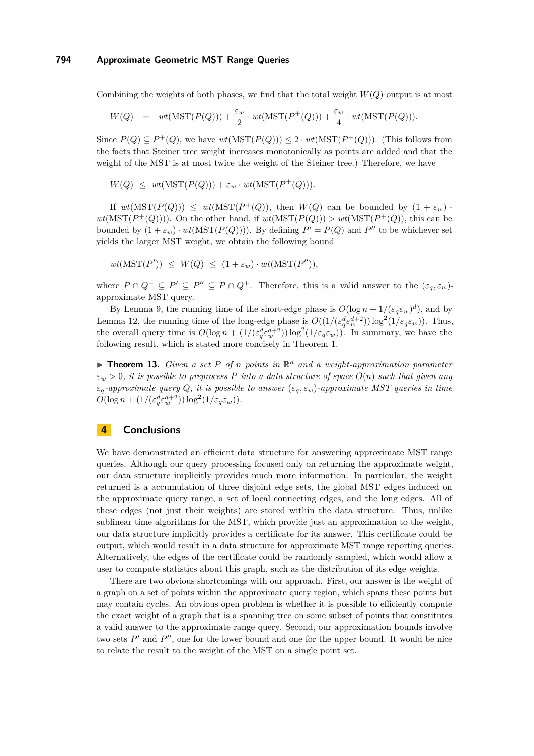Combining the weights of both phases, we find that the total weight *W*(*Q*) output is at most

$$
W(Q) = wt(MST(P(Q))) + \frac{\varepsilon_w}{2} \cdot wt(MST(P^+(Q))) + \frac{\varepsilon_w}{4} \cdot wt(MST(P(Q))).
$$

Since  $P(Q) \subseteq P^+(Q)$ , we have  $wt(MST(P(Q))) \leq 2 \cdot wt(MST(P^+(Q)))$ . (This follows from the facts that Steiner tree weight increases monotonically as points are added and that the weight of the MST is at most twice the weight of the Steiner tree.) Therefore, we have

 $W(Q) \leq wt(MST(P(Q))) + \varepsilon_w \cdot wt(MST(P^+(Q))).$ 

If  $wt(MST(P(Q))) \leq wt(MST(P^+(Q)),$  then  $W(Q)$  can be bounded by  $(1 + \varepsilon_w)$ .  $wt(MST(P^+(Q))))$ . On the other hand, if  $wt(MST(P(Q))) > wt(MST(P^+(Q))$ , this can be bounded by  $(1 + \varepsilon_w) \cdot wt(MST(P(Q))))$ . By defining  $P' = P(Q)$  and  $P''$  to be whichever set yields the larger MST weight, we obtain the following bound

 $wt(MST(P')) \leq W(Q) \leq (1+\varepsilon_w) \cdot wt(MST(P'')),$ 

where  $P \cap Q^-$  ⊆  $P'$  ⊆  $P''$  ⊆  $P \cap Q^+$ . Therefore, this is a valid answer to the  $(\varepsilon_q, \varepsilon_w)$ approximate MST query.

By Lemma [9,](#page-10-1) the running time of the short-edge phase is  $O(\log n + 1/(\varepsilon_q \varepsilon_w)^d)$ , and by Lemma [12,](#page-12-2) the running time of the long-edge phase is  $O((1/(\varepsilon_q^d \varepsilon_w^{d+2})) \log^2(1/\varepsilon_q \varepsilon_w))$ . Thus, the overall query time is  $O(\log n + (1/(\varepsilon_q^d \varepsilon_w^{d+2})) \log^2(1/\varepsilon_q \varepsilon_w))$ . In summary, we have the following result, which is stated more concisely in Theorem [1.](#page-2-0)

**Theorem 13.** *Given a set*  $P$  *of*  $n$  *points in*  $\mathbb{R}^d$  *and a weight-approximation parameter*  $\varepsilon_w > 0$ , *it is possible to preprocess P into a data structure of space*  $O(n)$  *such that given any*  $\varepsilon_q$ *-approximate query Q, it is possible to answer* ( $\varepsilon_q$ *,*  $\varepsilon_w$ *)-approximate MST queries in time*  $O(\log n + (1/(\varepsilon_q^d \varepsilon_w^{d+2})) \log^2(1/\varepsilon_q \varepsilon_w)).$ 

## **4 Conclusions**

We have demonstrated an efficient data structure for answering approximate MST range queries. Although our query processing focused only on returning the approximate weight, our data structure implicitly provides much more information. In particular, the weight returned is a accumulation of three disjoint edge sets, the global MST edges induced on the approximate query range, a set of local connecting edges, and the long edges. All of these edges (not just their weights) are stored within the data structure. Thus, unlike sublinear time algorithms for the MST, which provide just an approximation to the weight, our data structure implicitly provides a certificate for its answer. This certificate could be output, which would result in a data structure for approximate MST range reporting queries. Alternatively, the edges of the certificate could be randomly sampled, which would allow a user to compute statistics about this graph, such as the distribution of its edge weights.

There are two obvious shortcomings with our approach. First, our answer is the weight of a graph on a set of points within the approximate query region, which spans these points but may contain cycles. An obvious open problem is whether it is possible to efficiently compute the exact weight of a graph that is a spanning tree on some subset of points that constitutes a valid answer to the approximate range query. Second, our approximation bounds involve two sets  $P'$  and  $P''$ , one for the lower bound and one for the upper bound. It would be nice to relate the result to the weight of the MST on a single point set.